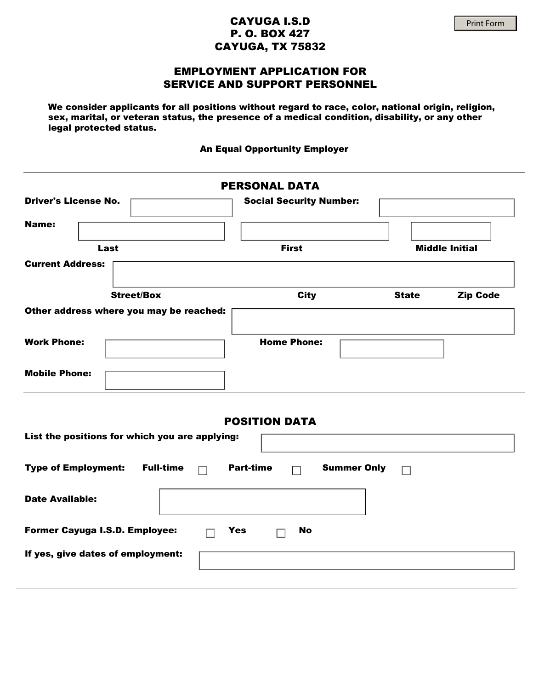## CAYUGA I.S.D P. O. BOX 427 CAYUGA, TX 75832

We consider applicants for all positions without regard to race, color, national origin, religion, sex, marital, or veteran status, the presence of a medical condition, disability, or any other legal protected status.

An Equal Opportunity Employer

|                                                | <b>PERSONAL DATA</b>                   |                                 |
|------------------------------------------------|----------------------------------------|---------------------------------|
| <b>Driver's License No.</b>                    | <b>Social Security Number:</b>         |                                 |
| <b>Name:</b>                                   |                                        |                                 |
| Last                                           | <b>First</b>                           | <b>Middle Initial</b>           |
| <b>Current Address:</b>                        |                                        |                                 |
| <b>Street/Box</b>                              | <b>City</b>                            | <b>State</b><br><b>Zip Code</b> |
| Other address where you may be reached:        |                                        |                                 |
| <b>Work Phone:</b>                             | <b>Home Phone:</b>                     |                                 |
| <b>Mobile Phone:</b>                           |                                        |                                 |
| List the positions for which you are applying: | <b>POSITION DATA</b>                   |                                 |
| <b>Type of Employment:</b><br><b>Full-time</b> | <b>Part-time</b><br><b>Summer Only</b> | $\Box$                          |
| <b>Date Available:</b>                         |                                        |                                 |
| Former Cayuga I.S.D. Employee:                 | <b>No</b><br><b>Yes</b><br>П           |                                 |
| If yes, give dates of employment:              |                                        |                                 |
|                                                |                                        |                                 |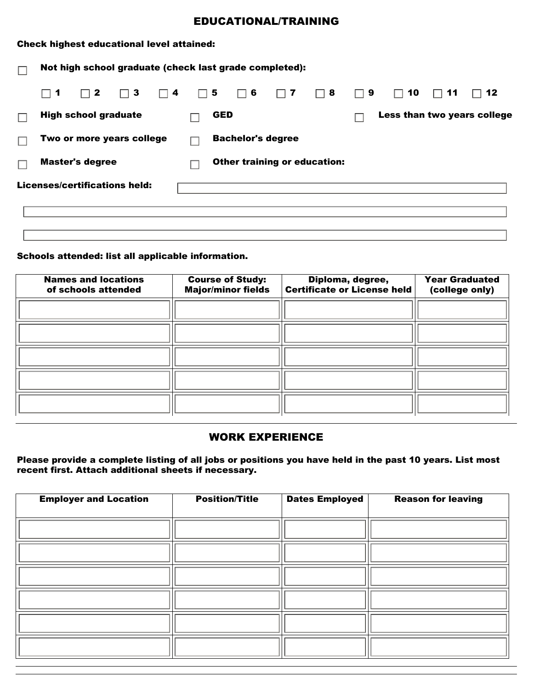# EDUCATIONAL/TRAINING

| <b>Check highest educational level attained:</b> |                                                        |                          |                                     |                             |                             |  |  |  |
|--------------------------------------------------|--------------------------------------------------------|--------------------------|-------------------------------------|-----------------------------|-----------------------------|--|--|--|
|                                                  | Not high school graduate (check last grade completed): |                          |                                     |                             |                             |  |  |  |
|                                                  | $\Box$ 1<br>$\Box$ 2<br>$\Box$ 3<br>$\Box$ 4           | $\Box$ 5<br>$\Box$ 6     | $\Box$ 8<br>$\Box$ 7                | 9<br>10<br>$\Box$<br>$\Box$ | -12<br>-11                  |  |  |  |
|                                                  | <b>High school graduate</b>                            | <b>GED</b>               |                                     |                             | Less than two years college |  |  |  |
|                                                  | Two or more years college                              | <b>Bachelor's degree</b> |                                     |                             |                             |  |  |  |
|                                                  | <b>Master's degree</b>                                 |                          | <b>Other training or education:</b> |                             |                             |  |  |  |
|                                                  | Licenses/certifications held:                          |                          |                                     |                             |                             |  |  |  |
|                                                  |                                                        |                          |                                     |                             |                             |  |  |  |
|                                                  |                                                        |                          |                                     |                             |                             |  |  |  |

#### Schools attended: list all applicable information.

| <b>Names and locations</b><br>of schools attended | <b>Course of Study:</b><br><b>Major/minor fields</b> | Diploma, degree,<br><b>Certificate or License held</b> | <b>Year Graduated</b><br>(college only) |
|---------------------------------------------------|------------------------------------------------------|--------------------------------------------------------|-----------------------------------------|
|                                                   |                                                      |                                                        |                                         |
|                                                   |                                                      |                                                        |                                         |
|                                                   |                                                      |                                                        |                                         |
|                                                   |                                                      |                                                        |                                         |
|                                                   |                                                      |                                                        |                                         |

## WORK EXPERIENCE

Please provide a complete listing of all jobs or positions you have held in the past 10 years. List most recent first. Attach additional sheets if necessary.

| <b>Employer and Location</b> | <b>Position/Title</b> | <b>Dates Employed</b> | <b>Reason for leaving</b> |
|------------------------------|-----------------------|-----------------------|---------------------------|
|                              |                       |                       |                           |
|                              |                       |                       |                           |
|                              |                       |                       |                           |
|                              |                       |                       |                           |
|                              |                       |                       |                           |
|                              |                       |                       |                           |
|                              |                       |                       |                           |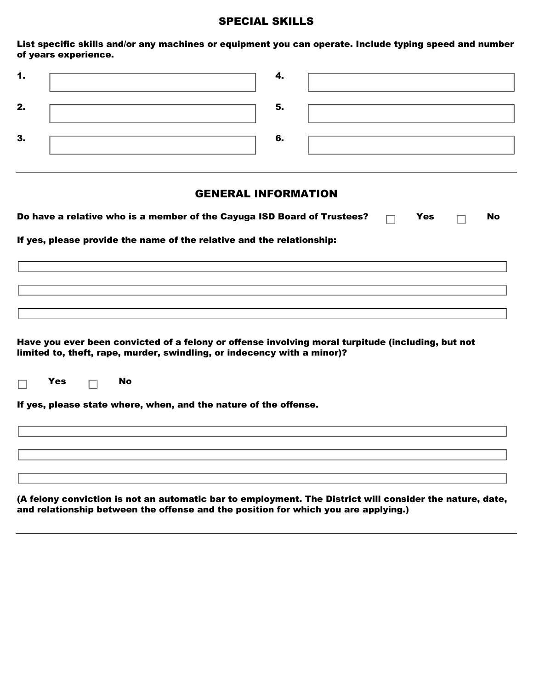#### SPECIAL SKILLS

List specific skills and/or any machines or equipment you can operate. Include typing speed and number of years experience.

| . . |    |  |
|-----|----|--|
| 2.  | 5. |  |
| З.  | 6. |  |

## GENERAL INFORMATION

| Do have a relative who is a member of the Cayuga ISD Board of Trustees? $\Box$ Yes |  | $\Box$ | No |
|------------------------------------------------------------------------------------|--|--------|----|
| If yes, please provide the name of the relative and the relationship:              |  |        |    |
|                                                                                    |  |        |    |
|                                                                                    |  |        |    |
|                                                                                    |  |        |    |

Have you ever been convicted of a felony or offense involving moral turpitude (including, but not limited to, theft, rape, murder, swindling, or indecency with a minor)?

|  | r es |  | No |
|--|------|--|----|
|--|------|--|----|

If yes, please state where, when, and the nature of the offense.

(A felony conviction is not an automatic bar to employment. The District will consider the nature, date, and relationship between the offense and the position for which you are applying.)